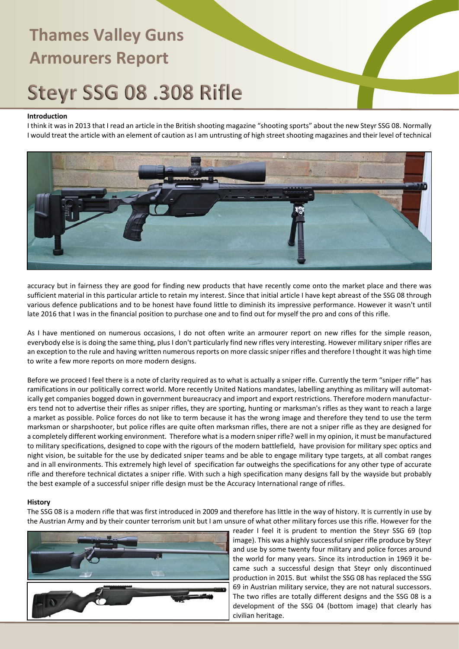## Steyr SSG 08 .308 Rifle

#### **Introduction**

I think it was in 2013 that I read an article in the British shooting magazine "shooting sports" about the new Steyr SSG 08. Normally I would treat the article with an element of caution as I am untrusting of high street shooting magazines and their level of technical



accuracy but in fairness they are good for finding new products that have recently come onto the market place and there was sufficient material in this particular article to retain my interest. Since that initial article I have kept abreast of the SSG 08 through various defence publications and to be honest have found little to diminish its impressive performance. However it wasn't until late 2016 that I was in the financial position to purchase one and to find out for myself the pro and cons of this rifle.

As I have mentioned on numerous occasions, I do not often write an armourer report on new rifles for the simple reason, everybody else is is doing the same thing, plus I don't particularly find new rifles very interesting. However military sniper rifles are an exception to the rule and having written numerous reports on more classic sniper rifles and therefore I thought it was high time to write a few more reports on more modern designs.

Before we proceed I feel there is a note of clarity required as to what is actually a sniper rifle. Currently the term "sniper rifle" has ramifications in our politically correct world. More recently United Nations mandates, labelling anything as military will automatically get companies bogged down in government bureaucracy and import and export restrictions. Therefore modern manufacturers tend not to advertise their rifles as sniper rifles, they are sporting, hunting or marksman's rifles as they want to reach a large a market as possible. Police forces do not like to term because it has the wrong image and therefore they tend to use the term marksman or sharpshooter, but police rifles are quite often marksman rifles, there are not a sniper rifle as they are designed for a completely different working environment. Therefore what is a modern sniper rifle? well in my opinion, it must be manufactured to military specifications, designed to cope with the rigours of the modern battlefield, have provision for military spec optics and night vision, be suitable for the use by dedicated sniper teams and be able to engage military type targets, at all combat ranges and in all environments. This extremely high level of specification far outweighs the specifications for any other type of accurate rifle and therefore technical dictates a sniper rifle. With such a high specification many designs fall by the wayside but probably the best example of a successful sniper rifle design must be the Accuracy International range of rifles.

#### **History**

The SSG 08 is a modern rifle that was first introduced in 2009 and therefore has little in the way of history. It is currently in use by the Austrian Army and by their counter terrorism unit but I am unsure of what other military forces use this rifle. However for the



reader I feel it is prudent to mention the Steyr SSG 69 (top image). This was a highly successful sniper rifle produce by Steyr and use by some twenty four military and police forces around the world for many years. Since its introduction in 1969 it became such a successful design that Steyr only discontinued production in 2015. But whilst the SSG 08 has replaced the SSG 69 in Austrian military service, they are not natural successors. The two rifles are totally different designs and the SSG 08 is a development of the SSG 04 (bottom image) that clearly has civilian heritage.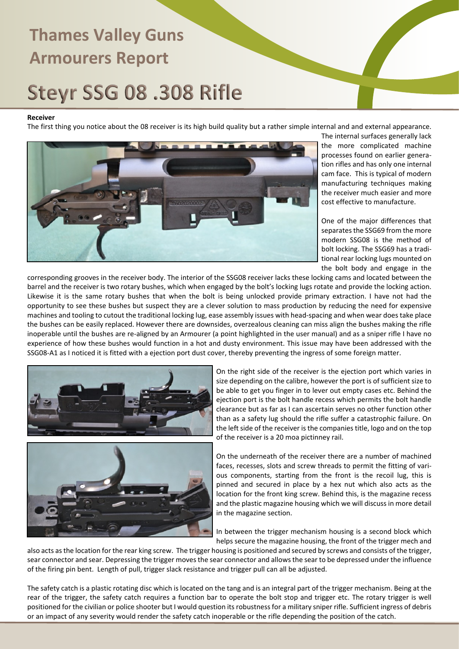# Steyr SSG 08 .308 Rifle

#### **Receiver**

The first thing you notice about the 08 receiver is its high build quality but a rather simple internal and and external appearance.



The internal surfaces generally lack the more complicated machine processes found on earlier generation rifles and has only one internal cam face. This is typical of modern manufacturing techniques making the receiver much easier and more cost effective to manufacture.

One of the major differences that separates the SSG69 from the more modern SSG08 is the method of bolt locking. The SSG69 has a traditional rear locking lugs mounted on the bolt body and engage in the

corresponding grooves in the receiver body. The interior of the SSG08 receiver lacks these locking cams and located between the barrel and the receiver is two rotary bushes, which when engaged by the bolt's locking lugs rotate and provide the locking action. Likewise it is the same rotary bushes that when the bolt is being unlocked provide primary extraction. I have not had the opportunity to see these bushes but suspect they are a clever solution to mass production by reducing the need for expensive machines and tooling to cutout the traditional locking lug, ease assembly issues with head-spacing and when wear does take place the bushes can be easily replaced. However there are downsides, overzealous cleaning can miss align the bushes making the rifle inoperable until the bushes are re-aligned by an Armourer (a point highlighted in the user manual) and as a sniper rifle I have no experience of how these bushes would function in a hot and dusty environment. This issue may have been addressed with the SSG08-A1 as I noticed it is fitted with a ejection port dust cover, thereby preventing the ingress of some foreign matter.





On the right side of the receiver is the ejection port which varies in size depending on the calibre, however the port is of sufficient size to be able to get you finger in to lever out empty cases etc. Behind the ejection port is the bolt handle recess which permits the bolt handle clearance but as far as I can ascertain serves no other function other than as a safety lug should the rifle suffer a catastrophic failure. On the left side of the receiver is the companies title, logo and on the top of the receiver is a 20 moa pictinney rail.

On the underneath of the receiver there are a number of machined faces, recesses, slots and screw threads to permit the fitting of various components, starting from the front is the recoil lug, this is pinned and secured in place by a hex nut which also acts as the location for the front king screw. Behind this, is the magazine recess and the plastic magazine housing which we will discuss in more detail in the magazine section.

In between the trigger mechanism housing is a second block which helps secure the magazine housing, the front of the trigger mech and

also acts as the location for the rear king screw. The trigger housing is positioned and secured by screws and consists of the trigger, sear connector and sear. Depressing the trigger moves the sear connector and allows the sear to be depressed under the influence of the firing pin bent. Length of pull, trigger slack resistance and trigger pull can all be adjusted.

The safety catch is a plastic rotating disc which is located on the tang and is an integral part of the trigger mechanism. Being at the rear of the trigger, the safety catch requires a function bar to operate the bolt stop and trigger etc. The rotary trigger is well positioned for the civilian or police shooter but I would question its robustness for a military sniper rifle. Sufficient ingress of debris or an impact of any severity would render the safety catch inoperable or the rifle depending the position of the catch.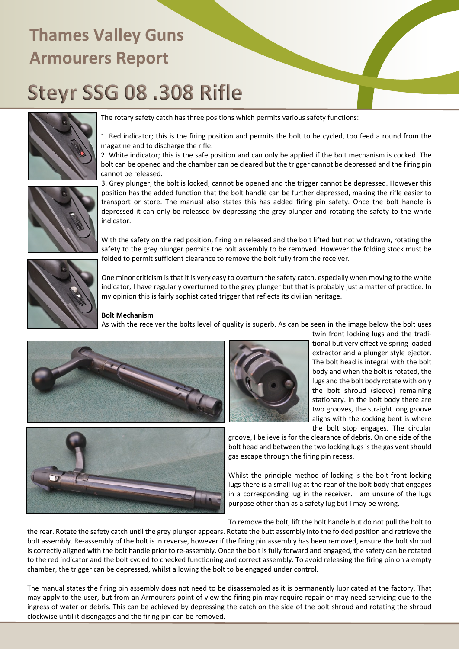# Steyr SSG 08 .308 Rifle



The rotary safety catch has three positions which permits various safety functions:

1. Red indicator; this is the firing position and permits the bolt to be cycled, too feed a round from the magazine and to discharge the rifle.

2. White indicator; this is the safe position and can only be applied if the bolt mechanism is cocked. The bolt can be opened and the chamber can be cleared but the trigger cannot be depressed and the firing pin cannot be released.

3. Grey plunger; the bolt is locked, cannot be opened and the trigger cannot be depressed. However this position has the added function that the bolt handle can be further depressed, making the rifle easier to transport or store. The manual also states this has added firing pin safety. Once the bolt handle is depressed it can only be released by depressing the grey plunger and rotating the safety to the white indicator.

With the safety on the red position, firing pin released and the bolt lifted but not withdrawn, rotating the safety to the grey plunger permits the bolt assembly to be removed. However the folding stock must be folded to permit sufficient clearance to remove the bolt fully from the receiver.



One minor criticism is that it is very easy to overturn the safety catch, especially when moving to the white indicator, I have regularly overturned to the grey plunger but that is probably just a matter of practice. In my opinion this is fairly sophisticated trigger that reflects its civilian heritage.

#### **Bolt Mechanism**

As with the receiver the bolts level of quality is superb. As can be seen in the image below the bolt uses



twin front locking lugs and the traditional but very effective spring loaded extractor and a plunger style ejector. The bolt head is integral with the bolt body and when the bolt is rotated, the lugs and the bolt body rotate with only the bolt shroud (sleeve) remaining stationary. In the bolt body there are two grooves, the straight long groove aligns with the cocking bent is where the bolt stop engages. The circular



groove, I believe is for the clearance of debris. On one side of the bolt head and between the two locking lugs is the gas vent should gas escape through the firing pin recess.

Whilst the principle method of locking is the bolt front locking lugs there is a small lug at the rear of the bolt body that engages in a corresponding lug in the receiver. I am unsure of the lugs purpose other than as a safety lug but I may be wrong.

To remove the bolt, lift the bolt handle but do not pull the bolt to

the rear. Rotate the safety catch until the grey plunger appears. Rotate the butt assembly into the folded position and retrieve the bolt assembly. Re-assembly of the bolt is in reverse, however if the firing pin assembly has been removed, ensure the bolt shroud is correctly aligned with the bolt handle prior to re-assembly. Once the bolt is fully forward and engaged, the safety can be rotated to the red indicator and the bolt cycled to checked functioning and correct assembly. To avoid releasing the firing pin on a empty chamber, the trigger can be depressed, whilst allowing the bolt to be engaged under control.

The manual states the firing pin assembly does not need to be disassembled as it is permanently lubricated at the factory. That may apply to the user, but from an Armourers point of view the firing pin may require repair or may need servicing due to the ingress of water or debris. This can be achieved by depressing the catch on the side of the bolt shroud and rotating the shroud clockwise until it disengages and the firing pin can be removed.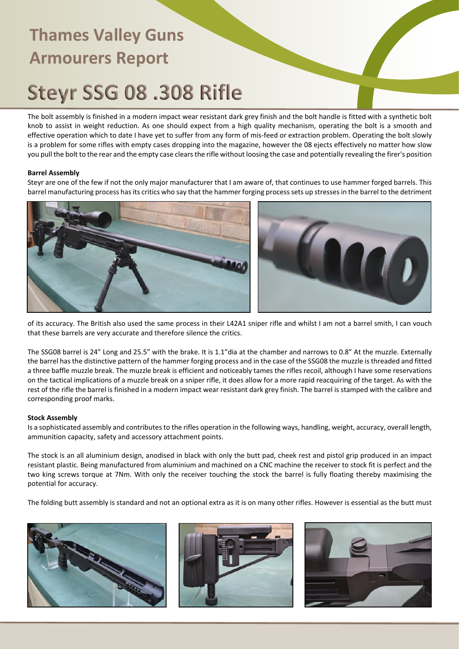### Steyr SSG 08 .308 Rifle

The bolt assembly is finished in a modern impact wear resistant dark grey finish and the bolt handle is fitted with a synthetic bolt knob to assist in weight reduction. As one should expect from a high quality mechanism, operating the bolt is a smooth and effective operation which to date I have yet to suffer from any form of mis-feed or extraction problem. Operating the bolt slowly is a problem for some rifles with empty cases dropping into the magazine, however the 08 ejects effectively no matter how slow you pull the bolt to the rear and the empty case clears the rifle without loosing the case and potentially revealing the firer's position

#### **Barrel Assembly**

Steyr are one of the few if not the only major manufacturer that I am aware of, that continues to use hammer forged barrels. This barrel manufacturing process has its critics who say that the hammer forging process sets up stresses in the barrel to the detriment



of its accuracy. The British also used the same process in their L42A1 sniper rifle and whilst I am not a barrel smith, I can vouch that these barrels are very accurate and therefore silence the critics.

The SSG08 barrel is 24" Long and 25.5" with the brake. It is 1.1"dia at the chamber and narrows to 0.8" At the muzzle. Externally the barrel has the distinctive pattern of the hammer forging process and in the case of the SSG08 the muzzle is threaded and fitted a three baffle muzzle break. The muzzle break is efficient and noticeably tames the rifles recoil, although I have some reservations on the tactical implications of a muzzle break on a sniper rifle, it does allow for a more rapid reacquiring of the target. As with the rest of the rifle the barrel is finished in a modern impact wear resistant dark grey finish. The barrel is stamped with the calibre and corresponding proof marks.

#### **Stock Assembly**

Is a sophisticated assembly and contributes to the rifles operation in the following ways, handling, weight, accuracy, overall length, ammunition capacity, safety and accessory attachment points.

The stock is an all aluminium design, anodised in black with only the butt pad, cheek rest and pistol grip produced in an impact resistant plastic. Being manufactured from aluminium and machined on a CNC machine the receiver to stock fit is perfect and the two king screws torque at 7Nm. With only the receiver touching the stock the barrel is fully floating thereby maximising the potential for accuracy.

The folding butt assembly is standard and not an optional extra as it is on many other rifles. However is essential as the butt must





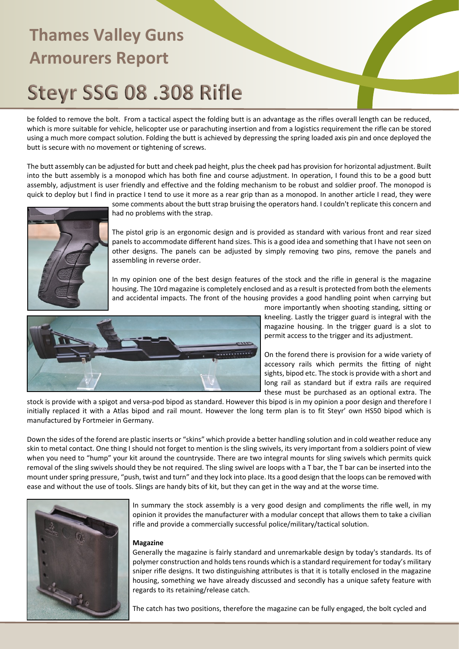# Steyr SSG 08 .308 Rifle

be folded to remove the bolt. From a tactical aspect the folding butt is an advantage as the rifles overall length can be reduced, which is more suitable for vehicle, helicopter use or parachuting insertion and from a logistics requirement the rifle can be stored using a much more compact solution. Folding the butt is achieved by depressing the spring loaded axis pin and once deployed the butt is secure with no movement or tightening of screws.

The butt assembly can be adjusted for butt and cheek pad height, plus the cheek pad has provision for horizontal adjustment. Built into the butt assembly is a monopod which has both fine and course adjustment. In operation, I found this to be a good butt assembly, adjustment is user friendly and effective and the folding mechanism to be robust and soldier proof. The monopod is quick to deploy but I find in practice I tend to use it more as a rear grip than as a monopod. In another article I read, they were



some comments about the butt strap bruising the operators hand. I couldn't replicate this concern and had no problems with the strap.

The pistol grip is an ergonomic design and is provided as standard with various front and rear sized panels to accommodate different hand sizes. This is a good idea and something that I have not seen on other designs. The panels can be adjusted by simply removing two pins, remove the panels and assembling in reverse order.

In my opinion one of the best design features of the stock and the rifle in general is the magazine housing. The 10rd magazine is completely enclosed and as a result is protected from both the elements and accidental impacts. The front of the housing provides a good handling point when carrying but



more importantly when shooting standing, sitting or kneeling. Lastly the trigger guard is integral with the magazine housing. In the trigger guard is a slot to permit access to the trigger and its adjustment.

On the forend there is provision for a wide variety of accessory rails which permits the fitting of night sights, bipod etc. The stock is provide with a short and long rail as standard but if extra rails are required these must be purchased as an optional extra. The

stock is provide with a spigot and versa-pod bipod as standard. However this bipod is in my opinion a poor design and therefore I initially replaced it with a Atlas bipod and rail mount. However the long term plan is to fit Steyr' own HS50 bipod which is manufactured by Fortmeier in Germany.

Down the sides of the forend are plastic inserts or "skins" which provide a better handling solution and in cold weather reduce any skin to metal contact. One thing I should not forget to mention is the sling swivels, its very important from a soldiers point of view when you need to "hump" your kit around the countryside. There are two integral mounts for sling swivels which permits quick removal of the sling swivels should they be not required. The sling swivel are loops with a T bar, the T bar can be inserted into the mount under spring pressure, "push, twist and turn" and they lock into place. Its a good design that the loops can be removed with ease and without the use of tools. Slings are handy bits of kit, but they can get in the way and at the worse time.



In summary the stock assembly is a very good design and compliments the rifle well, in my opinion it provides the manufacturer with a modular concept that allows them to take a civilian rifle and provide a commercially successful police/military/tactical solution.

#### **Magazine**

Generally the magazine is fairly standard and unremarkable design by today's standards. Its of polymer construction and holds tens rounds which is a standard requirement for today's military sniper rifle designs. It two distinguishing attributes is that it is totally enclosed in the magazine housing, something we have already discussed and secondly has a unique safety feature with regards to its retaining/release catch.

The catch has two positions, therefore the magazine can be fully engaged, the bolt cycled and